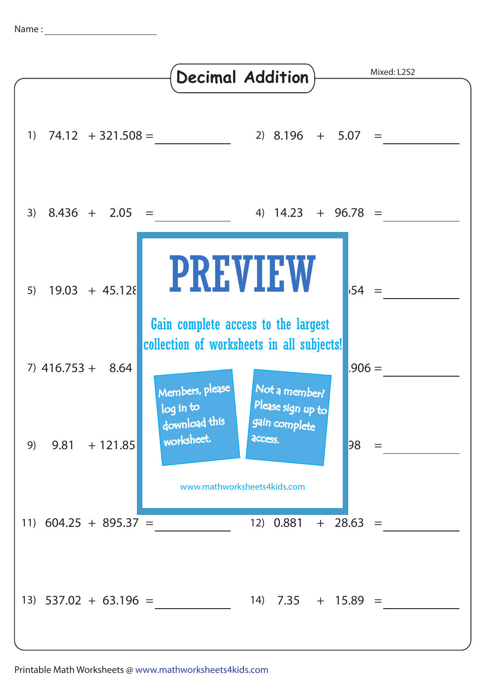